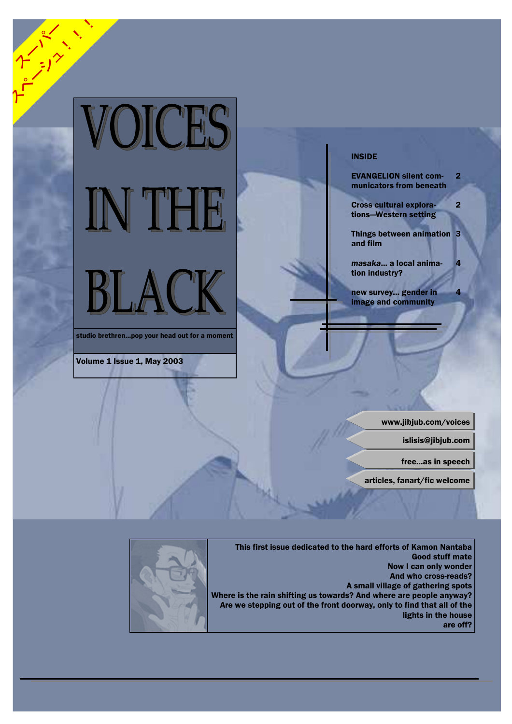

studio brethren...pop your head out for a moment

Volume 1 Issue 1, May 2003

## **INSIDE**

**EVANGELION silent com-** $\overline{2}$ municators from beneath

 $\overline{2}$ 

**Cross cultural explora-**

tions-Western setting

Things between animation 3 and film

masaka... a local animation industry?

new survey... gender in image and community

www.jibjub.com/voices

islisis@jibjub.com

free...as in speech

articles, fanart/fic welcome



This first issue dedicated to the hard efforts of Kamon Nantaba **Good stuff mate** Now I can only wonder And who cross-reads? A small village of gathering spots Where is the rain shifting us towards? And where are people anyway? Are we stepping out of the front doorway, only to find that all of the lights in the house are off?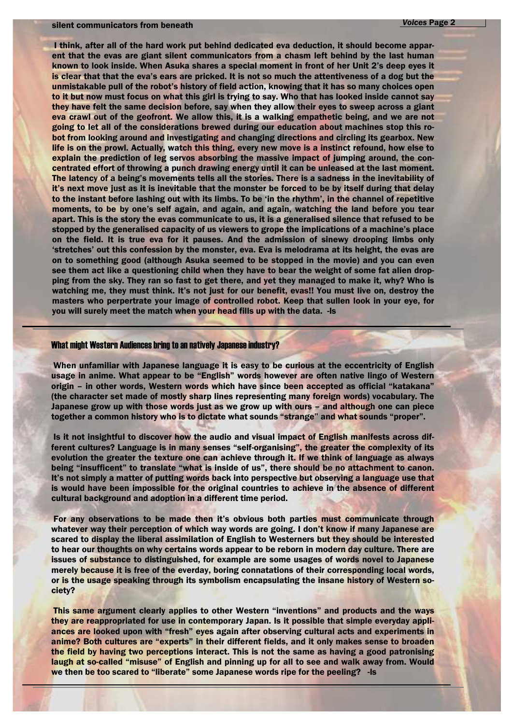#### silent communicators from beneath

I think, after all of the hard work put behind dedicated eva deduction, it should become apparent that the evas are giant silent communicators from a chasm left behind by the last human known to look inside. When Asuka shares a special moment in front of her Unit 2's deep eyes it is clear that that the eva's ears are pricked. It is not so much the attentiveness of a dog but the unmistakable pull of the robot's history of field action, knowing that it has so many choices open to it but now must focus on what this girl is trying to say. Who that has looked inside cannot say they have felt the same decision before, say when they allow their eyes to sweep across a giant eva crawl out of the geofront. We allow this, it is a walking empathetic being, and we are not going to let all of the considerations brewed during our education about machines stop this robot from looking around and investigating and changing directions and circling its gearbox. New life is on the prowl. Actually, watch this thing, every new move is a instinct refound, how else to explain the prediction of leg servos absorbing the massive impact of jumping around, the concentrated effort of throwing a punch drawing energy until it can be unleased at the last moment. The latency of a being's movements tells all the stories. There is a sadness in the inevitability of it's next move just as it is inevitable that the monster be forced to be by itself during that delay to the instant before lashing out with its limbs. To be 'in the rhythm', in the channel of repetitive moments, to be by one's self again, and again, and again, watching the land before you tear apart. This is the story the evas communicate to us, it is a generalised silence that refused to be stopped by the generalised capacity of us viewers to grope the implications of a machine's place on the field. It is true eva for it pauses. And the admission of sinewy drooping limbs only 'stretches' out this confession by the monster, eva. Eva is melodrama at its height, the evas are on to something good (although Asuka seemed to be stopped in the movie) and you can even see them act like a questioning child when they have to bear the weight of some fat alien dropping from the sky. They ran so fast to get there, and yet they managed to make it, why? Who is watching me, they must think. It's not just for our benefit, evas!! You must live on, destroy the masters who perpertrate your image of controlled robot. Keep that sullen look in your eye, for you will surely meet the match when your head fills up with the data. - Is

### **What might Western Audiences bring to an natively Japanese industry?**

When unfamiliar with Japanese language it is easy to be curious at the eccentricity of English usage in anime. What appear to be "English" words however are often native lingo of Western origin - in other words, Western words which have since been accepted as official "katakana" (the character set made of mostly sharp lines representing many foreign words) vocabulary. The Japanese grow up with those words just as we grow up with ours - and although one can piece together a common history who is to dictate what sounds "strange" and what sounds "proper".

Is it not insightful to discover how the audio and visual impact of English manifests across different cultures? Language is in many senses "self-organising", the greater the complexity of its evolution the greater the texture one can achieve through it. If we think of language as always being "insufficent" to translate "what is inside of us", there should be no attachment to canon. It's not simply a matter of putting words back into perspective but observing a language use that is would have been impossible for the original countries to achieve in the absence of different cultural background and adoption in a different time period.

For any observations to be made then it's obvious both parties must communicate through whatever way their perception of which way words are going. I don't know if many Japanese are scared to display the liberal assimilation of English to Westerners but they should be interested to hear our thoughts on why certains words appear to be reborn in modern day culture. There are issues of substance to distinguished, for example are some usages of words novel to Japanese merely because it is free of the everday, boring connatations of their corresponding local words, or is the usage speaking through its symbolism encapsulating the insane history of Western society?

This same argument clearly applies to other Western "inventions" and products and the ways they are reappropriated for use in contemporary Japan. Is it possible that simple everyday appliances are looked upon with "fresh" eyes again after observing cultural acts and experiments in anime? Both cultures are "experts" in their different fields, and it only makes sense to broaden the field by having two perceptions interact. This is not the same as having a good patronising laugh at so-called "misuse" of English and pinning up for all to see and walk away from. Would we then be too scared to "liberate" some Japanese words ripe for the peeling? - Is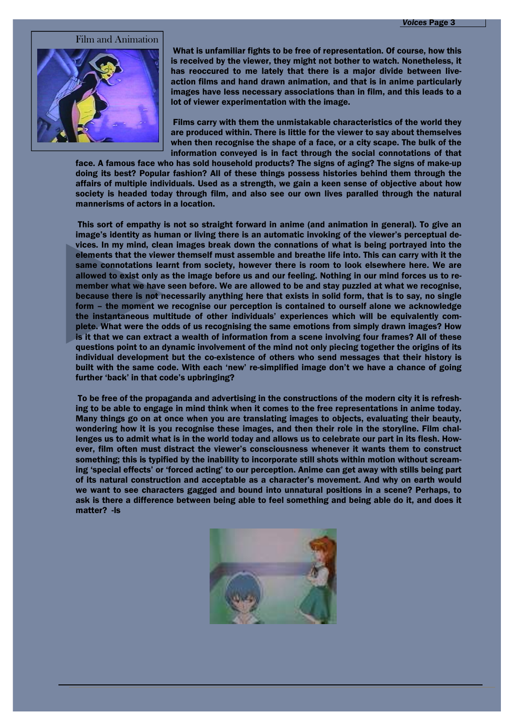Film and Animation



What is unfamiliar fights to be free of representation. Of course, how this is received by the viewer, they might not bother to watch. Nonetheless, it has reoccured to me lately that there is a major divide between liveaction films and hand drawn animation, and that is in anime particularly images have less necessary associations than in film, and this leads to a lot of viewer experimentation with the image.

Films carry with them the unmistakable characteristics of the world they are produced within. There is little for the viewer to say about themselves when then recognise the shape of a face, or a city scape. The bulk of the information conveyed is in fact through the social connotations of that

face. A famous face who has sold household products? The signs of aging? The signs of make-up doing its best? Popular fashion? All of these things possess histories behind them through the affairs of multiple individuals. Used as a strength, we gain a keen sense of objective about how society is headed today through film, and also see our own lives paralled through the natural mannerisms of actors in a location.

This sort of empathy is not so straight forward in anime (and animation in general). To give an image's identity as human or living there is an automatic invoking of the viewer's perceptual devices. In my mind, clean images break down the connations of what is being portrayed into the elements that the viewer themself must assemble and breathe life into. This can carry with it the same connotations learnt from society, however there is room to look elsewhere here. We are allowed to exist only as the image before us and our feeling. Nothing in our mind forces us to remember what we have seen before. We are allowed to be and stay puzzled at what we recognise, because there is not necessarily anything here that exists in solid form, that is to say, no single form - the moment we recognise our perception is contained to ourself alone we acknowledge the instantaneous multitude of other individuals' experiences which will be equivalently complete. What were the odds of us recognising the same emotions from simply drawn images? How is it that we can extract a wealth of information from a scene involving four frames? All of these questions point to an dynamic involvement of the mind not only piecing together the origins of its individual development but the co-existence of others who send messages that their history is built with the same code. With each 'new' re-simplified image don't we have a chance of going further 'back' in that code's upbringing?

To be free of the propaganda and advertising in the constructions of the modern city it is refreshing to be able to engage in mind think when it comes to the free representations in anime today. Many things go on at once when you are translating images to objects, evaluating their beauty, wondering how it is you recognise these images, and then their role in the storyline. Film challenges us to admit what is in the world today and allows us to celebrate our part in its flesh. However, film often must distract the viewer's consciousness whenever it wants them to construct something; this is typified by the inability to incorporate still shots within motion without screaming 'special effects' or 'forced acting' to our perception. Anime can get away with stills being part of its natural construction and acceptable as a character's movement. And why on earth would we want to see characters gagged and bound into unnatural positions in a scene? Perhaps, to ask is there a difference between being able to feel something and being able do it, and does it matter? - Is